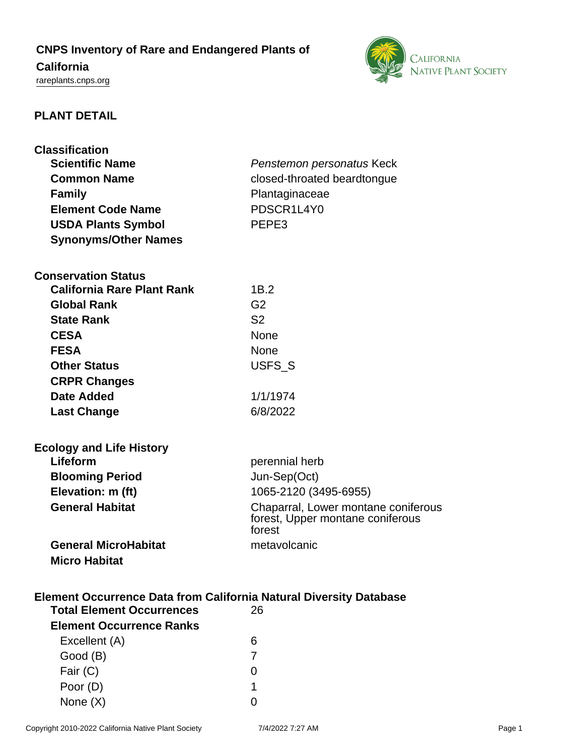# **CNPS Inventory of Rare and Endangered Plants of**

## **California**

<rareplants.cnps.org>



## **PLANT DETAIL**

| <b>Classification</b><br><b>Scientific Name</b><br><b>Common Name</b><br><b>Family</b><br><b>Element Code Name</b> | Penstemon personatus Keck<br>closed-throated beardtongue<br>Plantaginaceae<br>PDSCR1L4Y0 |
|--------------------------------------------------------------------------------------------------------------------|------------------------------------------------------------------------------------------|
| <b>USDA Plants Symbol</b>                                                                                          | PEPE3                                                                                    |
| <b>Synonyms/Other Names</b>                                                                                        |                                                                                          |
|                                                                                                                    |                                                                                          |
| <b>Conservation Status</b>                                                                                         |                                                                                          |
| <b>California Rare Plant Rank</b>                                                                                  | 1B.2                                                                                     |
| <b>Global Rank</b>                                                                                                 | G <sub>2</sub>                                                                           |
| <b>State Rank</b>                                                                                                  | S <sub>2</sub>                                                                           |
| <b>CESA</b>                                                                                                        | <b>None</b>                                                                              |
| <b>FESA</b>                                                                                                        | <b>None</b>                                                                              |
| <b>Other Status</b>                                                                                                | USFS_S                                                                                   |
| <b>CRPR Changes</b>                                                                                                |                                                                                          |
| <b>Date Added</b>                                                                                                  | 1/1/1974                                                                                 |
| <b>Last Change</b>                                                                                                 | 6/8/2022                                                                                 |
|                                                                                                                    |                                                                                          |
| <b>Ecology and Life History</b>                                                                                    |                                                                                          |
| Lifeform                                                                                                           | perennial herb                                                                           |
| <b>Blooming Period</b>                                                                                             | Jun-Sep(Oct)                                                                             |
| Elevation: m (ft)                                                                                                  | 1065-2120 (3495-6955)                                                                    |
| <b>General Habitat</b>                                                                                             | Chaparral, Lower montane coniferous<br>forest, Upper montane coniferous<br>forest        |
| <b>General MicroHabitat</b>                                                                                        | metavolcanic                                                                             |
| <b>Micro Habitat</b>                                                                                               |                                                                                          |
| Element Occurrence Data from California Natural Diversity Database<br><b>Total Element Occurrences</b><br>26       |                                                                                          |
| <b>Element Occurrence Ranks</b>                                                                                    |                                                                                          |
| Excellent (A)                                                                                                      | 6                                                                                        |
| Good (B)                                                                                                           | 7                                                                                        |
| Fair (C)                                                                                                           | 0                                                                                        |
| Poor (D)                                                                                                           | 1                                                                                        |

None  $(X)$  0